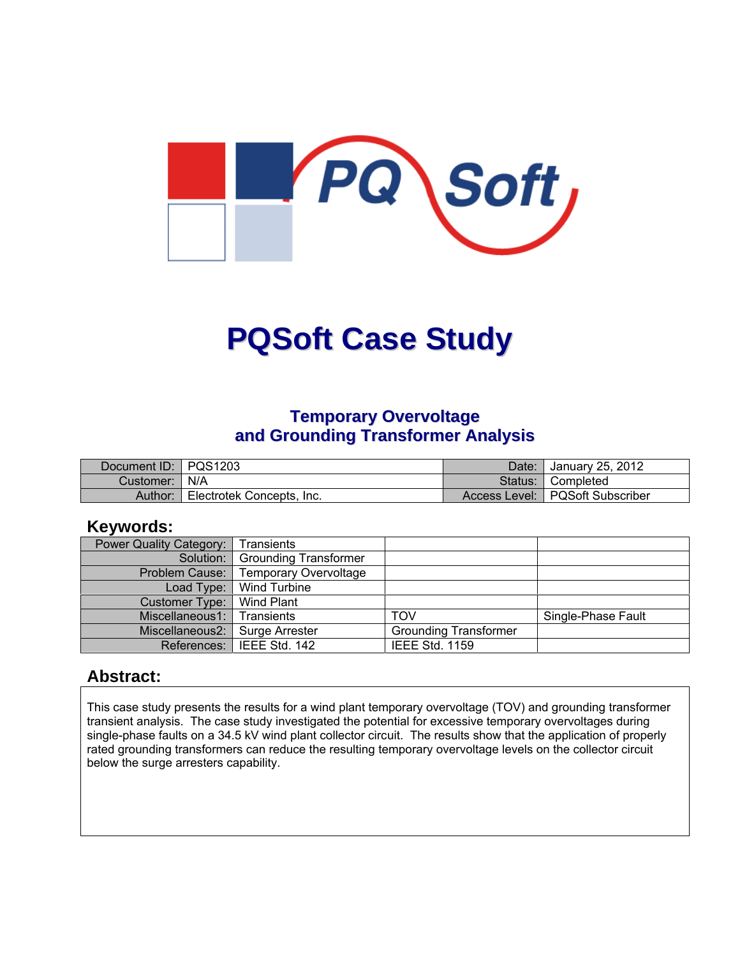

# **PQSoft Case Study**

#### **Temporary Overvoltage and Grounding Transformer Analysis**

| Document ID: PQS1203 |                           | Date:   | January 25, 2012                  |
|----------------------|---------------------------|---------|-----------------------------------|
| Customer:   N/A      |                           | Status: | I Completed                       |
| Author:              | Electrotek Concepts, Inc. |         | Access Level:   PQSoft Subscriber |

#### **Keywords:**

| Power Quality Category:          | Transients                        |                              |                    |
|----------------------------------|-----------------------------------|------------------------------|--------------------|
|                                  | Solution:   Grounding Transformer |                              |                    |
| Problem Cause:                   | <b>Temporary Overvoltage</b>      |                              |                    |
|                                  | Load Type: Wind Turbine           |                              |                    |
| Customer Type:                   | Wind Plant                        |                              |                    |
| Miscellaneous1:                  | Transients                        | TOV                          | Single-Phase Fault |
| Miscellaneous2:   Surge Arrester |                                   | <b>Grounding Transformer</b> |                    |
|                                  | References: IEEE Std. 142         | <b>IEEE Std. 1159</b>        |                    |

#### **Abstract:**

This case study presents the results for a wind plant temporary overvoltage (TOV) and grounding transformer transient analysis. The case study investigated the potential for excessive temporary overvoltages during single-phase faults on a 34.5 kV wind plant collector circuit. The results show that the application of properly rated grounding transformers can reduce the resulting temporary overvoltage levels on the collector circuit below the surge arresters capability.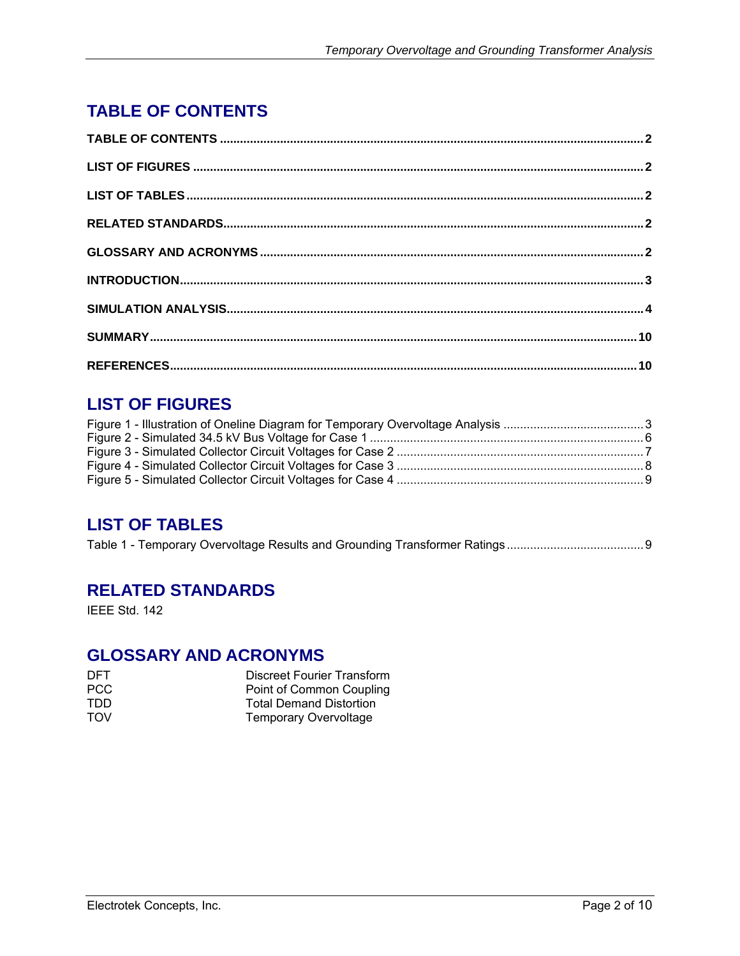# **TABLE OF CONTENTS**

# **LIST OF FIGURES**

# **LIST OF TABLES**

|--|--|--|

## **RELATED STANDARDS**

IEEE Std. 142

### **GLOSSARY AND ACRONYMS**

| DFT.       | Discreet Fourier Transform     |
|------------|--------------------------------|
| PCC.       | Point of Common Coupling       |
| TDD        | <b>Total Demand Distortion</b> |
| <b>TOV</b> | <b>Temporary Overvoltage</b>   |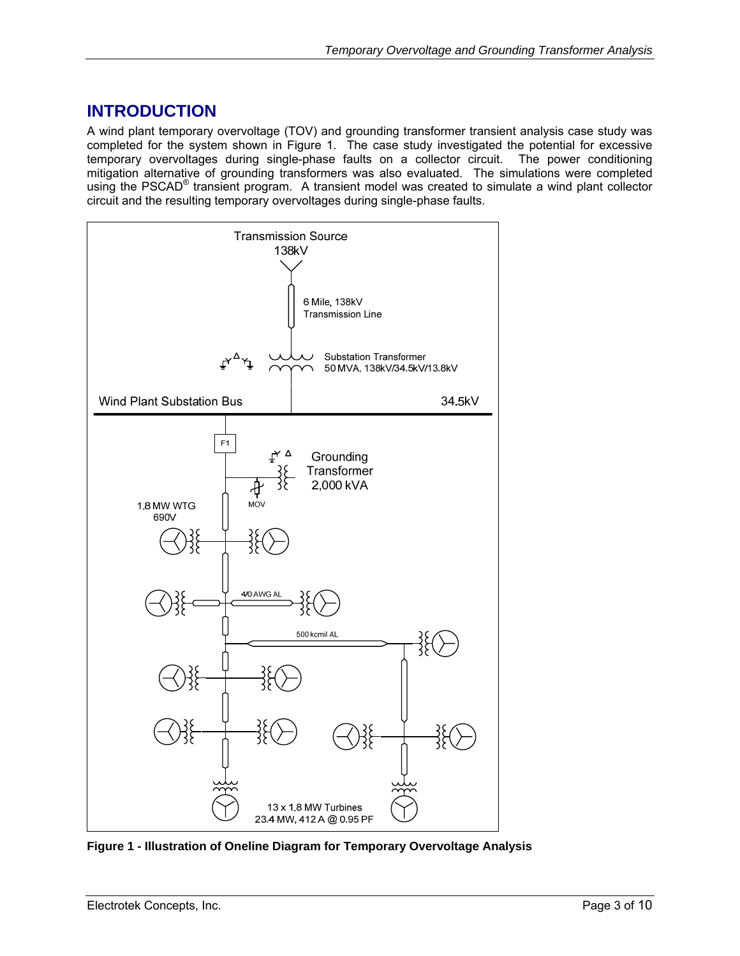## **INTRODUCTION**

A wind plant temporary overvoltage (TOV) and grounding transformer transient analysis case study was completed for the system shown in Figure 1. The case study investigated the potential for excessive temporary overvoltages during single-phase faults on a collector circuit. The power conditioning mitigation alternative of grounding transformers was also evaluated. The simulations were completed using the PSCAD<sup>®</sup> transient program. A transient model was created to simulate a wind plant collector circuit and the resulting temporary overvoltages during single-phase faults.



**Figure 1 - Illustration of Oneline Diagram for Temporary Overvoltage Analysis**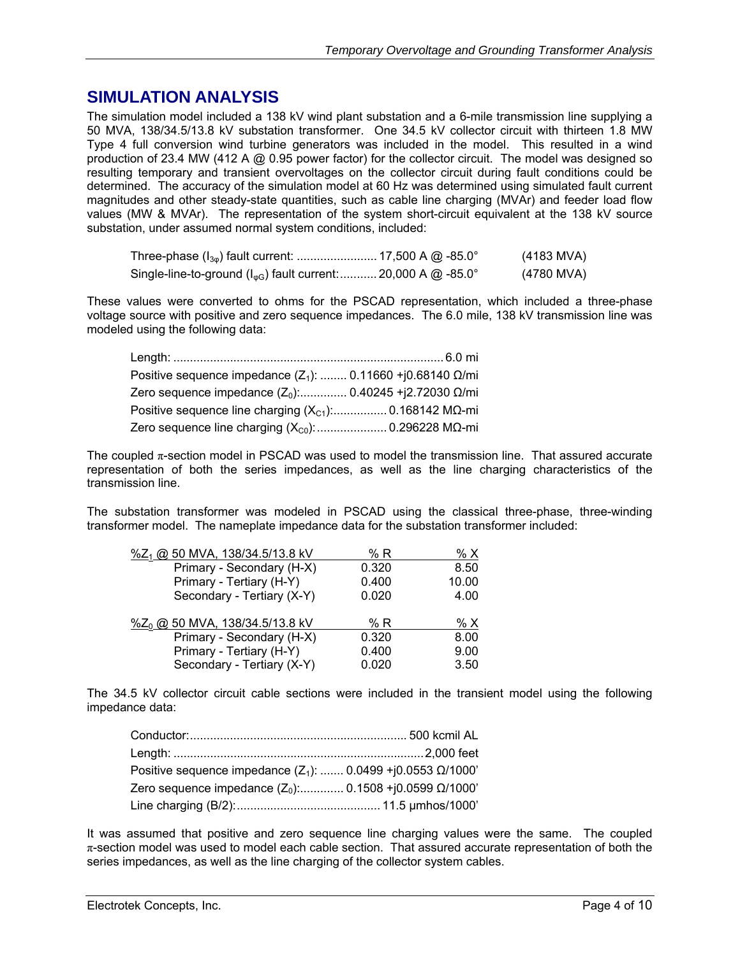## **SIMULATION ANALYSIS**

The simulation model included a 138 kV wind plant substation and a 6-mile transmission line supplying a 50 MVA, 138/34.5/13.8 kV substation transformer. One 34.5 kV collector circuit with thirteen 1.8 MW Type 4 full conversion wind turbine generators was included in the model. This resulted in a wind production of 23.4 MW (412 A @ 0.95 power factor) for the collector circuit. The model was designed so resulting temporary and transient overvoltages on the collector circuit during fault conditions could be determined. The accuracy of the simulation model at 60 Hz was determined using simulated fault current magnitudes and other steady-state quantities, such as cable line charging (MVAr) and feeder load flow values (MW & MVAr). The representation of the system short-circuit equivalent at the 138 kV source substation, under assumed normal system conditions, included:

|                                                                             | (4183 MVA) |
|-----------------------------------------------------------------------------|------------|
| Single-line-to-ground ( $I_{\text{wG}}$ ) fault current:  20,000 A @ -85.0° | (4780 MVA) |

These values were converted to ohms for the PSCAD representation, which included a three-phase voltage source with positive and zero sequence impedances. The 6.0 mile, 138 kV transmission line was modeled using the following data:

| Positive sequence impedance $(Z_1)$ :  0.11660 +j0.68140 $\Omega$ /mi |  |
|-----------------------------------------------------------------------|--|
| Zero sequence impedance $(Z_0)$ : 0.40245 + j2.72030 Ω/mi             |  |
|                                                                       |  |
|                                                                       |  |

The coupled π-section model in PSCAD was used to model the transmission line. That assured accurate representation of both the series impedances, as well as the line charging characteristics of the transmission line.

The substation transformer was modeled in PSCAD using the classical three-phase, three-winding transformer model. The nameplate impedance data for the substation transformer included:

| %Z <sub>1</sub> @ 50 MVA, 138/34.5/13.8 kV | % R   | % X   |
|--------------------------------------------|-------|-------|
| Primary - Secondary (H-X)                  | 0.320 | 8.50  |
| Primary - Tertiary (H-Y)                   | 0.400 | 10.00 |
| Secondary - Tertiary (X-Y)                 | 0.020 | 4.00  |
|                                            |       |       |
| %Z <sub>0</sub> @ 50 MVA, 138/34.5/13.8 kV | % R   | % X   |
| Primary - Secondary (H-X)                  | 0.320 | 8.00  |
| Primary - Tertiary (H-Y)                   | 0.400 | 9.00  |
| Secondary - Tertiary (X-Y)                 | 0.020 | 3.50  |

The 34.5 kV collector circuit cable sections were included in the transient model using the following impedance data:

| Positive sequence impedance $(Z_1)$ :  0.0499 +j0.0553 $\Omega$ /1000' |  |
|------------------------------------------------------------------------|--|
| Zero sequence impedance $(Z_0)$ : 0.1508 +j0.0599 $\Omega$ /1000'      |  |
|                                                                        |  |

It was assumed that positive and zero sequence line charging values were the same. The coupled  $\pi$ -section model was used to model each cable section. That assured accurate representation of both the series impedances, as well as the line charging of the collector system cables.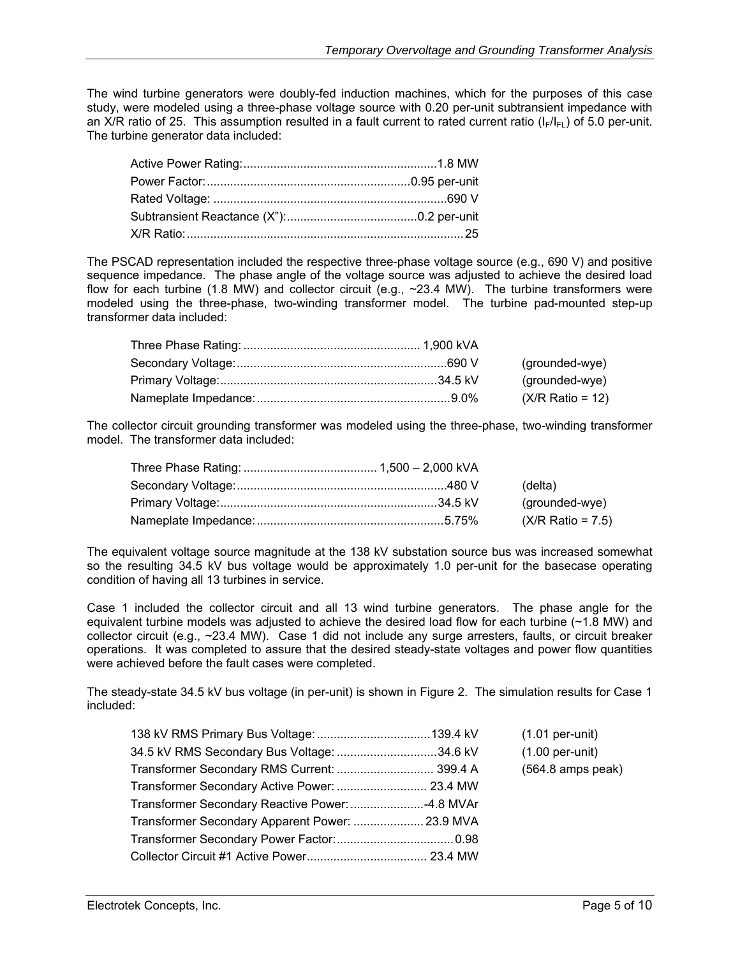The wind turbine generators were doubly-fed induction machines, which for the purposes of this case study, were modeled using a three-phase voltage source with 0.20 per-unit subtransient impedance with an X/R ratio of 25. This assumption resulted in a fault current to rated current ratio ( $I_F/I_{F1}$ ) of 5.0 per-unit. The turbine generator data included:

The PSCAD representation included the respective three-phase voltage source (e.g., 690 V) and positive sequence impedance. The phase angle of the voltage source was adjusted to achieve the desired load flow for each turbine (1.8 MW) and collector circuit (e.g., ~23.4 MW). The turbine transformers were modeled using the three-phase, two-winding transformer model. The turbine pad-mounted step-up transformer data included:

|  | (grounded-wye)             |
|--|----------------------------|
|  | (grounded-wye)             |
|  | $(X/R \text{ Ratio} = 12)$ |

The collector circuit grounding transformer was modeled using the three-phase, two-winding transformer model. The transformer data included:

|  | (delta)                     |
|--|-----------------------------|
|  | (grounded-wye)              |
|  | $(X/R \text{ Ratio} = 7.5)$ |

The equivalent voltage source magnitude at the 138 kV substation source bus was increased somewhat so the resulting 34.5 kV bus voltage would be approximately 1.0 per-unit for the basecase operating condition of having all 13 turbines in service.

Case 1 included the collector circuit and all 13 wind turbine generators. The phase angle for the equivalent turbine models was adjusted to achieve the desired load flow for each turbine  $(\sim 1.8 \text{ MW})$  and collector circuit (e.g., ~23.4 MW). Case 1 did not include any surge arresters, faults, or circuit breaker operations. It was completed to assure that the desired steady-state voltages and power flow quantities were achieved before the fault cases were completed.

The steady-state 34.5 kV bus voltage (in per-unit) is shown in Figure 2. The simulation results for Case 1 included:

|                                             | $(1.01 per-unit)$         |
|---------------------------------------------|---------------------------|
| 34.5 kV RMS Secondary Bus Voltage: 34.6 kV  | $(1.00 \text{ per-unit})$ |
| Transformer Secondary RMS Current:  399.4 A | $(564.8$ amps peak)       |
|                                             |                           |
|                                             |                           |
|                                             |                           |
|                                             |                           |
|                                             |                           |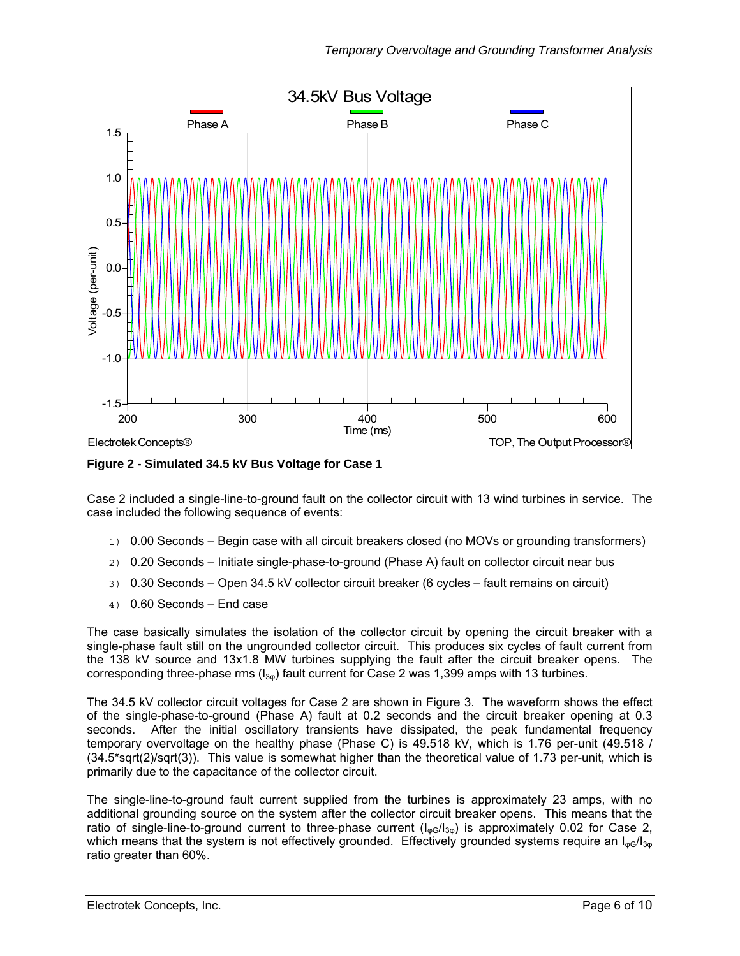

**Figure 2 - Simulated 34.5 kV Bus Voltage for Case 1** 

Case 2 included a single-line-to-ground fault on the collector circuit with 13 wind turbines in service. The case included the following sequence of events:

- 1) 0.00 Seconds Begin case with all circuit breakers closed (no MOVs or grounding transformers)
- 2) 0.20 Seconds Initiate single-phase-to-ground (Phase A) fault on collector circuit near bus
- 3) 0.30 Seconds Open 34.5 kV collector circuit breaker (6 cycles fault remains on circuit)
- 4) 0.60 Seconds End case

The case basically simulates the isolation of the collector circuit by opening the circuit breaker with a single-phase fault still on the ungrounded collector circuit. This produces six cycles of fault current from the 138 kV source and 13x1.8 MW turbines supplying the fault after the circuit breaker opens. The corresponding three-phase rms  $(I_{3\phi})$  fault current for Case 2 was 1,399 amps with 13 turbines.

The 34.5 kV collector circuit voltages for Case 2 are shown in Figure 3. The waveform shows the effect of the single-phase-to-ground (Phase A) fault at 0.2 seconds and the circuit breaker opening at 0.3 seconds. After the initial oscillatory transients have dissipated, the peak fundamental frequency temporary overvoltage on the healthy phase (Phase C) is 49.518 kV, which is 1.76 per-unit (49.518 / (34.5\*sqrt(2)/sqrt(3)). This value is somewhat higher than the theoretical value of 1.73 per-unit, which is primarily due to the capacitance of the collector circuit.

The single-line-to-ground fault current supplied from the turbines is approximately 23 amps, with no additional grounding source on the system after the collector circuit breaker opens. This means that the ratio of single-line-to-ground current to three-phase current  $(I_{\text{no}}/I_{3\text{no}})$  is approximately 0.02 for Case 2, which means that the system is not effectively grounded. Effectively grounded systems require an  $I_{\text{mg}}/I_{3g}$ ratio greater than 60%.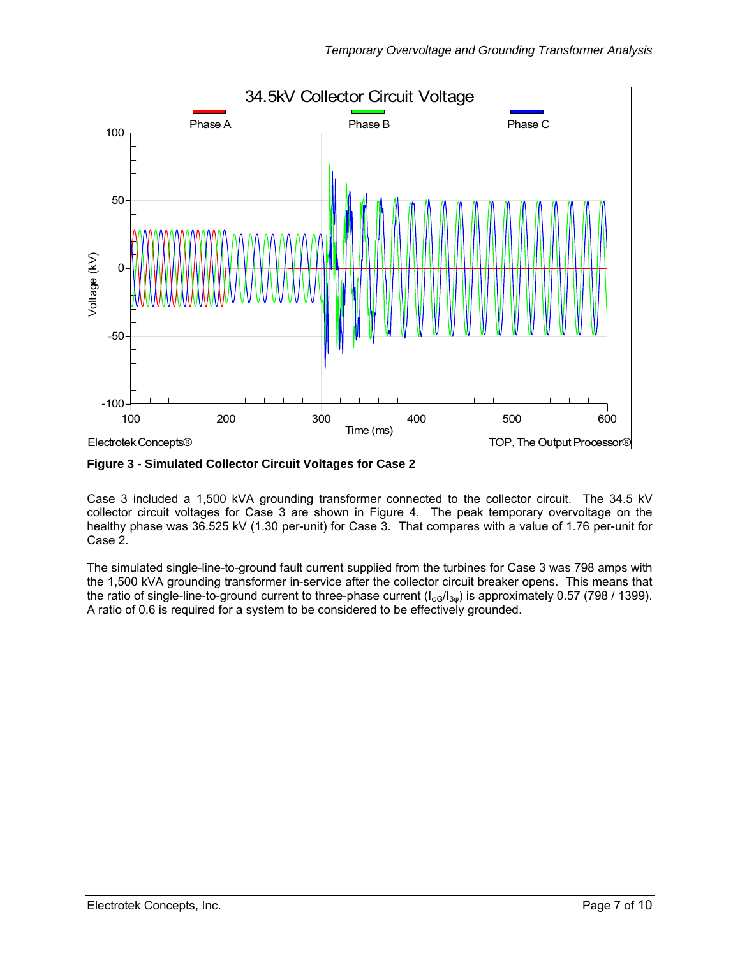

**Figure 3 - Simulated Collector Circuit Voltages for Case 2** 

Case 3 included a 1,500 kVA grounding transformer connected to the collector circuit. The 34.5 kV collector circuit voltages for Case 3 are shown in Figure 4. The peak temporary overvoltage on the healthy phase was 36.525 kV (1.30 per-unit) for Case 3. That compares with a value of 1.76 per-unit for Case 2.

The simulated single-line-to-ground fault current supplied from the turbines for Case 3 was 798 amps with the 1,500 kVA grounding transformer in-service after the collector circuit breaker opens. This means that the ratio of single-line-to-ground current to three-phase current ( $I_{\phi G}/I_{3\phi}$ ) is approximately 0.57 (798 / 1399). A ratio of 0.6 is required for a system to be considered to be effectively grounded.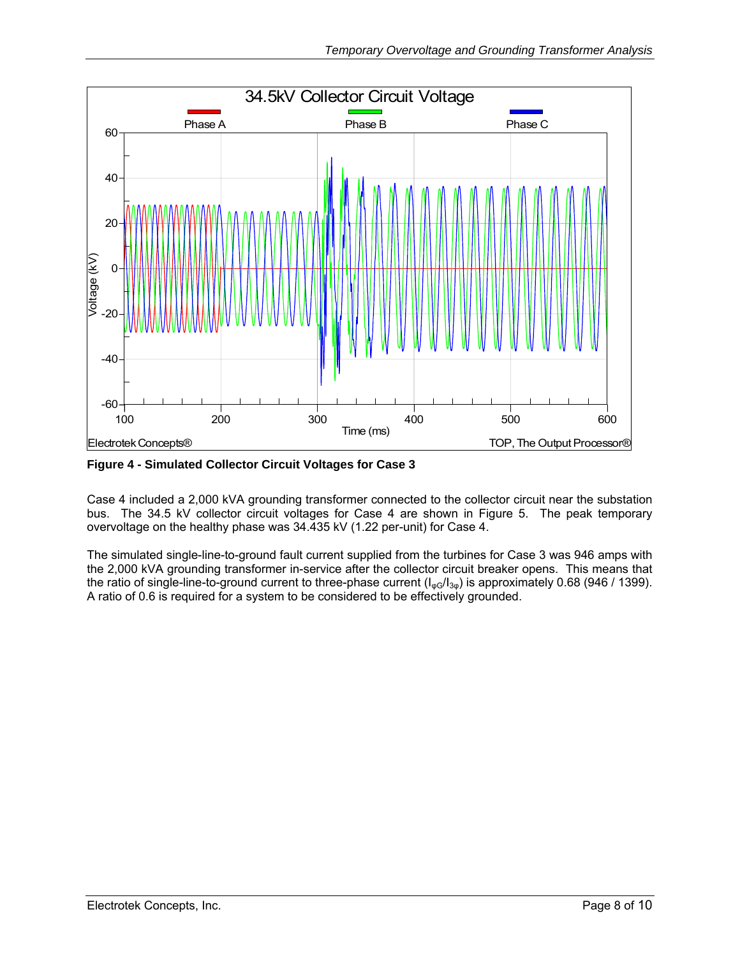

**Figure 4 - Simulated Collector Circuit Voltages for Case 3** 

Case 4 included a 2,000 kVA grounding transformer connected to the collector circuit near the substation bus. The 34.5 kV collector circuit voltages for Case 4 are shown in Figure 5. The peak temporary overvoltage on the healthy phase was 34.435 kV (1.22 per-unit) for Case 4.

The simulated single-line-to-ground fault current supplied from the turbines for Case 3 was 946 amps with the 2,000 kVA grounding transformer in-service after the collector circuit breaker opens. This means that the ratio of single-line-to-ground current to three-phase current  $(I_{\alpha G}/I_{3\alpha})$  is approximately 0.68 (946 / 1399). A ratio of 0.6 is required for a system to be considered to be effectively grounded.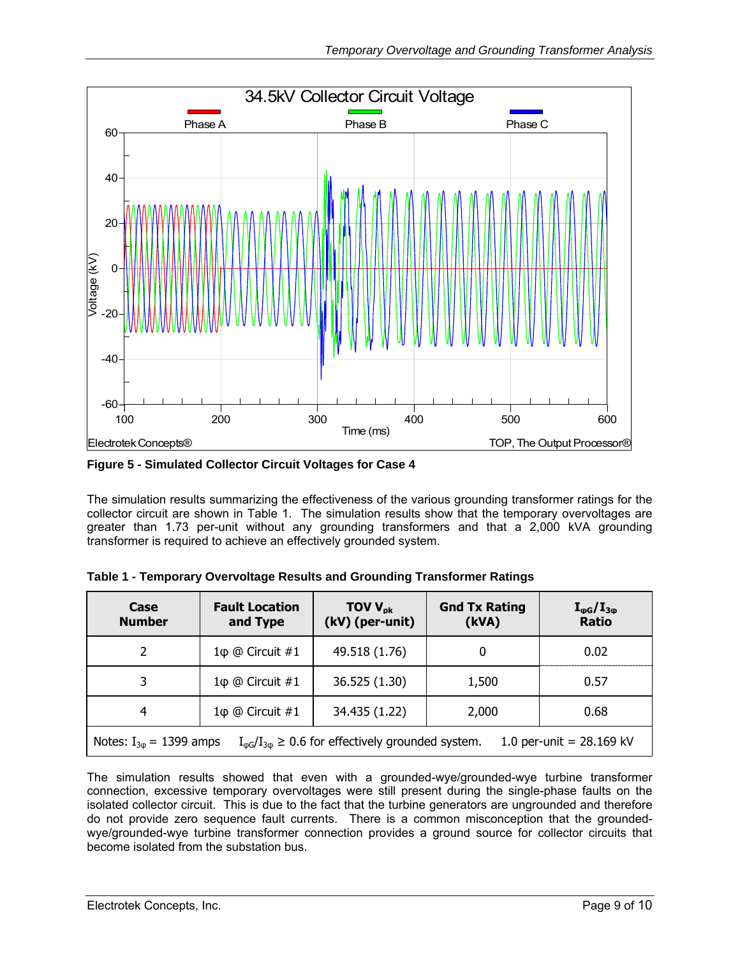

**Figure 5 - Simulated Collector Circuit Voltages for Case 4** 

The simulation results summarizing the effectiveness of the various grounding transformer ratings for the collector circuit are shown in Table 1. The simulation results show that the temporary overvoltages are greater than 1.73 per-unit without any grounding transformers and that a 2,000 kVA grounding transformer is required to achieve an effectively grounded system.

| Case<br><b>Number</b>                                                                                                                  | <b>Fault Location</b><br>and Type | TOV $V_{\text{pk}}$<br>(kV) (per-unit) | <b>Gnd Tx Rating</b><br>(kVA) | $I_{\phi G}/I_{3\phi}$<br><b>Ratio</b> |  |
|----------------------------------------------------------------------------------------------------------------------------------------|-----------------------------------|----------------------------------------|-------------------------------|----------------------------------------|--|
| $\mathcal{P}$                                                                                                                          | $1\phi \t@$ Circuit #1            | 49.518 (1.76)                          | 0                             | 0.02                                   |  |
| 3                                                                                                                                      | $1\phi$ @ Circuit #1              | 36.525 (1.30)                          | 1,500                         | 0.57                                   |  |
| 4                                                                                                                                      |                                   | 34.435 (1.22)                          | 2,000                         | 0.68                                   |  |
| $I_{\varphi G}/I_{3\varphi} \geq 0.6$ for effectively grounded system.<br>Notes: $I_{3\phi} = 1399$ amps<br>1.0 per-unit = $28.169$ kV |                                   |                                        |                               |                                        |  |

|  |  | Table 1 - Temporary Overvoltage Results and Grounding Transformer Ratings |  |
|--|--|---------------------------------------------------------------------------|--|
|  |  |                                                                           |  |
|  |  |                                                                           |  |

The simulation results showed that even with a grounded-wye/grounded-wye turbine transformer connection, excessive temporary overvoltages were still present during the single-phase faults on the isolated collector circuit. This is due to the fact that the turbine generators are ungrounded and therefore do not provide zero sequence fault currents. There is a common misconception that the groundedwye/grounded-wye turbine transformer connection provides a ground source for collector circuits that become isolated from the substation bus.